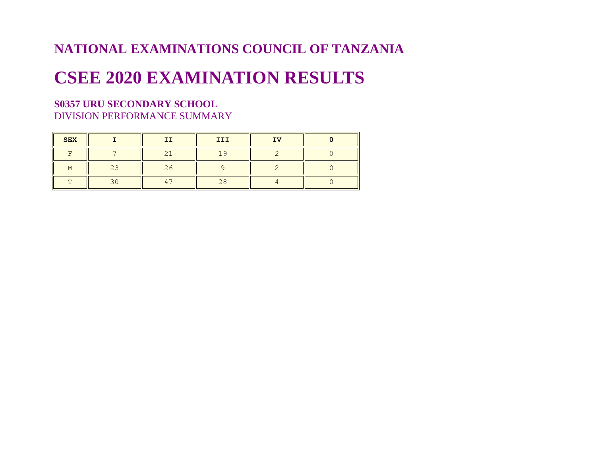## **NATIONAL EXAMINATIONS COUNCIL OF TANZANIA**

# **CSEE 2020 EXAMINATION RESULTS**

## **S0357 URU SECONDARY SCHOOL** DIVISION PERFORMANCE SUMMARY

| <b>SEX</b>     |                          | ΙI             | III            | IV |  |
|----------------|--------------------------|----------------|----------------|----|--|
| F              | $\overline{\phantom{0}}$ | 2 <sup>1</sup> | 1 <sup>o</sup> |    |  |
| M              | 23                       | 26             |                |    |  |
| $\blacksquare$ | $\overline{\phantom{0}}$ | 47             | 28             |    |  |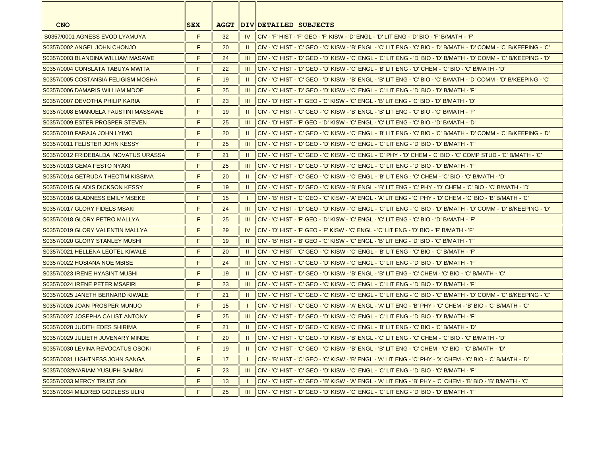| <b>CNO</b>                            | <b>SEX</b> | <b>AGGT</b> |                | DIV DETAILED SUBJECTS                                                                                                      |
|---------------------------------------|------------|-------------|----------------|----------------------------------------------------------------------------------------------------------------------------|
| S0357/0001 AGNESS EVOD LYAMUYA        | F          | 32          |                | IV   CIV - 'F' HIST - 'F' GEO - 'F' KISW - 'D' ENGL - 'D' LIT ENG - 'D' BIO - 'F' B/MATH - 'F'                             |
| IS0357/0002 ANGEL JOHN CHONJO         | F          | 20          | $\mathbf{H}$   | ICIV - 'C' HIST - 'C' GEO - 'C' KISW - 'B' ENGL - 'C' LIT ENG - 'C' BIO - 'D' B/MATH - 'D' COMM - 'C' B/KEEPING - 'C'      |
| S0357/0003 BLANDINA WILLIAM MASAWE    | F          | 24          |                | III   CIV - 'C' HIST - 'D' GEO - 'D' KISW - 'C' ENGL - 'C' LIT ENG - 'D' BIO - 'D' B/MATH - 'D' COMM - 'C' B/KEEPING - 'D' |
| IS0357/0004 CONSLATA TABUYA MWITA     | F          | 22          |                | 'III   CIV - 'C' HIST - 'D' GEO - 'D' KISW - 'C' ENGL - 'B' LIT ENG - 'D' CHEM - 'C' BIO - 'C' B/MATH - 'D'                |
| S0357/0005 COSTANSIA FELIGISM MOSHA   | F          | 19          | $\mathbf{II}$  | ICIV - 'C' HIST - 'C' GEO - 'D' KISW - 'B' ENGL - 'B' LIT ENG - 'C' BIO - 'C' B/MATH - 'D' COMM - 'D' B/KEEPING - 'C'      |
| S0357/0006 DAMARIS WILLIAM MDOE       | F          | 25          | HI.            | CIV - 'C' HIST - 'D' GEO - 'D' KISW - 'C' ENGL - 'C' LIT ENG - 'D' BIO - 'D' B/MATH - 'F'                                  |
| S0357/0007 DEVOTHA PHILIP KARIA       | F          | 23          | $\mathbf{III}$ | llCIV - 'D' HIST - 'F' GEO - 'C' KISW - 'C' ENGL - 'B' LIT ENG - 'C' BIO - 'D' B/MATH - 'D'                                |
| S0357/0008 EMANUELA FAUSTINI MASSAWE  | F          | 19          | $\mathbf{H}$   | CIV - 'C' HIST - 'C' GEO - 'C' KISW - 'B' ENGL - 'B' LIT ENG - 'C' BIO - 'C' B/MATH - 'F'                                  |
| S0357/0009 ESTER PROSPER STEVEN       | F          | 25          | $\mathbf{III}$ | l CIV - 'D' HIST - 'F' GEO - 'D' KISW - 'C' ENGL - 'C' LIT ENG - 'C' BIO - 'D' B/MATH - 'D'                                |
| S0357/0010 FARAJA JOHN LYIMO          | F          | 20          | $\mathbf{H}$   | I CIV - 'C' HIST - 'C' GEO - 'C' KISW - 'C' ENGL - 'B' LIT ENG - 'C' BIO - 'C' B/MATH - 'D' COMM - 'C' B/KEEPING - 'D'     |
| S0357/0011 FELISTER JOHN KESSY        | F          | 25          |                | <u>III   CIV - 'C' HIST - 'D' GEO - 'D' KISW - 'C' ENGL - 'C' LIT ENG - 'D' BIO - 'D' B/MATH - 'F'</u>                     |
| IS0357/0012 FRIDEBALDA_NOVATUS URASSA | F          | 21          |                | " CIV - 'C' HIST - 'C' GEO - 'C' KISW - 'C' ENGL - 'C' PHY - 'D' CHEM - 'C' BIO - 'C' COMP STUD - 'C' B/MATH - 'C          |
| S0357/0013 GEMA FESTO NYAKI           | F          | 25          | <b>III</b>     | lciv - 'C' Hist - 'D' Geo - 'D' Kisw - 'C' Engl. - 'C' Lit eng - 'D' Bio - 'D' B/MATH - 'F'                                |
| S0357/0014 GETRUDA THEOTIM KISSIMA    | F          | 20          | $\mathbf{H}$   | 'ICIV - 'C' HIST - 'C' GEO - 'C' KISW - 'C' ENGL - 'B' LIT ENG - 'C' CHEM - 'C' BIO - 'C' B/MATH - 'D                      |
| S0357/0015 GLADIS DICKSON KESSY       | F          | 19          | $\mathbf{II}$  | <u>  CIV - 'C' HIST - 'D' GEO - 'C' KISW - 'B' ENGL - 'B' LIT ENG - 'C' PHY - 'D' CHEM - 'C' BIO - 'C' B/MATH - 'D'</u>    |
| S0357/0016 GLADNESS EMILY MSEKE       | F          | 15          |                | l CIV - 'B' HIST - 'C' GEO - 'C' KISW - 'A' ENGL - 'A' LIT ENG - 'C' PHY - 'D' CHEM - 'C' BIO - 'B' B/MATH - 'C'           |
| S0357/0017 GLORY FIDELS MSAKI         | F          | 24          | $\mathbf{III}$ | llCIV - 'C' HIST - 'D' GEO - 'D' KISW - 'C' ENGL - 'C' LIT ENG - 'C' BIO - 'D' B/MATH - 'D' COMM - 'D' B/KEEPING - 'D'     |
| S0357/0018 GLORY PETRO MALLYA         | F          | 25          | -III           | llCIV - 'C' HIST - 'F' GEO - 'D' KISW - 'C' ENGL - 'C' LIT ENG - 'C' BIO - 'D' B/MATH - 'F'                                |
| S0357/0019 GLORY VALENTIN MALLYA      | F          | 29          |                | IV   CIV - 'D' HIST - 'F' GEO - 'F' KISW - 'C' ENGL - 'C' LIT ENG - 'D' BIO - 'F' B/MATH - 'F'                             |
| S0357/0020 GLORY STANLEY MUSHI        | F.         | 19          |                | II   CIV - 'B' HIST - 'B' GEO - 'C' KISW - 'C' ENGL - 'B' LIT ENG - 'D' BIO - 'C' B/MATH - 'F'                             |
| S0357/0021 HELLENA LEOTEL KIWALE      | F          | 20          | $\mathbf{H}$   | CIV - 'C' HIST - 'C' GEO - 'C' KISW - 'C' ENGL - 'B' LIT ENG - 'C' BIO - 'C' B/MATH - 'F'                                  |
| S0357/0022 HOSIANA NOE MBISE          | F          | 24          | $\mathbf{III}$ | llCIV - 'C' HIST - 'C' GEO - 'D' KISW - 'C' ENGL - 'C' LIT ENG - 'D' BIO - 'D' B/MATH - 'F'                                |
| S0357/0023 IRENE HYASINT MUSHI        | F          | 19          | $\mathbf{H}$   | I CIV - 'C' HIST - 'D' GEO - 'D' KISW - 'B' ENGL - 'B' LIT ENG - 'C' CHEM - 'C' BIO - 'C' B/MATH - 'C'                     |
| S0357/0024 IRENE PETER MSAFIRI        | F          | 23          | $\mathbf{III}$ | llCIV - 'C' HIST - 'C' GEO - 'C' KISW - 'C' ENGL - 'C' LIT ENG - 'D' BIO - 'D' B/MATH - 'F'                                |
| S0357/0025 JANETH BERNARD KIWALE      | F          | 21          | $\mathbf{u}$   | I CIV - 'C' HIST - 'C' GEO - 'C' KISW - 'C' ENGL - 'C' LIT ENG - 'C' BIO - 'C' B/MATH - 'D' COMM - 'C' B/KEEPING - 'C'     |
| S0357/0026 JOAN PROSPER MUNUO         | F          | 15          |                | l CIV - 'C' HIST - 'C' GEO - 'C' KISW - 'A' ENGL - 'A' LIT ENG - 'B' PHY - 'C' CHEM - 'B' BIO - 'C' B/MATH - 'C'           |
| S0357/0027 JOSEPHA CALIST ANTONY      | F          | 25          |                | <u>III   CIV - 'C' HIST - 'D' GEO - 'D' KISW - 'C' ENGL - 'C' LIT ENG - 'D' BIO - 'D' B/MATH - 'F'</u>                     |
| S0357/0028 JUDITH EDES SHIRIMA        | F          | 21          | $\mathbf{II}$  | ICIV - 'C' HIST - 'D' GEO - 'C' KISW - 'C' ENGL - 'B' LIT ENG - 'C' BIO - 'C' B/MATH - 'D'                                 |
| S0357/0029 JULIETH JUVENARY MINDE     | F          | $20\degree$ |                | II CIV - 'C' HIST - 'C' GEO - 'D' KISW - 'B' ENGL - 'C' LIT ENG - 'C' CHEM - 'C' BIO - 'C' B/MATH - 'D'                    |
| S0357/0030 LEVINA REVOCATUS OSOKI     | F          | 19          | $\mathbf{H}$   | l CIV - 'C' HIST - 'C' GEO - 'C' KISW - 'B' ENGL - 'B' LIT ENG - 'C' CHEM - 'C' BIO - 'C' B/MATH - 'D'                     |
| S0357/0031 LIGHTNESS JOHN SANGA       | F          | 17          |                | l CIV - 'B' HIST - 'C' GEO - 'C' KISW - 'B' ENGL - 'A' LIT ENG - 'C' PHY - 'X' CHEM - 'C' BIO - 'C' B/MATH - 'D'           |
| S0357/0032MARIAM YUSUPH SAMBAI        | F          | 23          | Ш              | llCIV - 'C' HIST - 'C' GEO - 'D' KISW - 'C' ENGL - 'C' LIT ENG - 'D' BIO - 'C' B/MATH - 'F'                                |
| S0357/0033 MERCY TRUST SOI            | F          | 13          |                | l CIV - 'C' HIST - 'C' GEO - 'B' KISW - 'A' ENGL - 'A' LIT ENG - 'B' PHY - 'C' CHEM - 'B' BIO - 'B' B/MATH - 'C'           |
| S0357/0034 MILDRED GODLESS ULIKI      | F          | 25          | Ш              | lciv - 'C' Hist - 'D' GEO - 'D' KISW - 'C' ENGL - 'C' LIT ENG - 'D' BIO - 'D' B/MATH - 'F'                                 |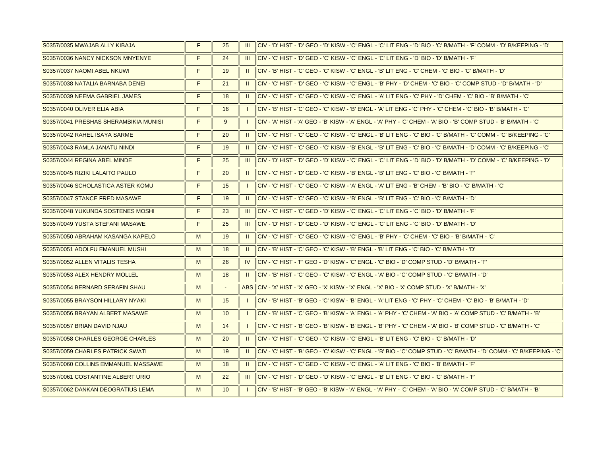| S0357/0035 MWAJAB ALLY KIBAJA         | F | 25                       |                | III   CIV - 'D' HIST - 'D' GEO - 'D' KISW - 'C' ENGL - 'C' LIT ENG - 'D' BIO - 'C' B/MATH - 'F' COMM - 'D' B/KEEPING - 'D'      |
|---------------------------------------|---|--------------------------|----------------|---------------------------------------------------------------------------------------------------------------------------------|
| S0357/0036 NANCY NICKSON MNYENYE      | F | 24                       |                | <u>III HCIV - 'C' HIST - 'D' GEO - 'C' KISW - 'C' ENGL - 'C' LIT ENG - 'D' BIO - 'D' B/MATH - 'F' I</u>                         |
| S0357/0037 NAOMI ABEL NKUWI           | F | 19                       | $\mathbf{H}$   | llCIV - 'B' HIST - 'C' GEO - 'C' KISW - 'C' ENGL - 'B' LIT ENG - 'C' CHEM - 'C' BIO - 'C' B/MATH - 'D'                          |
| S0357/0038 NATALIA BARNABA DENEI      | F | 21                       |                | II $\parallel$ CIV - 'C' HIST - 'D' GEO - 'C' KISW - 'C' ENGL - 'B' PHY - 'D' CHEM - 'C' BIO - 'C' COMP STUD - 'D' B/MATH - 'D' |
| S0357/0039 NEEMA GABRIEL JAMES        | F | 18                       | $\mathbf{H}$   | llCIV - 'C' HIST - 'C' GEO - 'C' KISW - 'C' ENGL - 'A' LIT ENG - 'C' PHY - 'D' CHEM - 'C' BIO - 'B' B/MATH - 'C'                |
| S0357/0040 OLIVER ELIA ABIA           | F | 16                       | $\perp$        | llCIV - 'B' HIST - 'C' GEO - 'C' KISW - 'B' ENGL - 'A' LIT ENG - 'C' PHY - 'C' CHEM - 'C' BIO - 'B' B/MATH - 'C'                |
| S0357/0041 PRESHAS SHERAMBIKIA MUNISI | F | 9                        | $\perp$        | lciv - 'A' Hist - 'A' GEO - 'B' KISW - 'A' ENGL - 'A' PHY - 'C' CHEM - 'A' BIO - 'B' COMP STUD - 'B' B/MATH - 'C'               |
| S0357/0042 RAHEL ISAYA SARME          | F | 20                       | $\mathbf{H}$   | ICIV - 'C' HIST - 'C' GEO - 'C' KISW - 'C' ENGL - 'B' LIT ENG - 'C' BIO - 'C' B/MATH - 'C' COMM - 'C' B/KEEPING - 'C'           |
| S0357/0043 RAMLA JANATU NINDI         | F | 19                       | $\mathbf{H}$   | llciv - 'C' Hist - 'C' GEO - 'C' Kisw - 'B' Engl - 'B' Lit Eng - 'C' BiO - 'C' B/MATH - 'D' COMM - 'C' B/KEEPING - 'C'          |
| S0357/0044 REGINA ABEL MINDE          | F | 25                       | <b>III</b>     | ICIV - 'D' HIST - 'D' GEO - 'D' KISW - 'C' ENGL - 'C' LIT ENG - 'D' BIO - 'D' B/MATH - 'D' COMM - 'C' B/KEEPING - 'D'           |
| S0357/0045 RIZIKI LALAITO PAULO       | F | 20                       |                | II   CIV - 'C' HIST - 'D' GEO - 'C' KISW - 'B' ENGL - 'B' LIT ENG - 'C' BIO - 'C' B/MATH - 'F'                                  |
| S0357/0046 SCHOLASTICA ASTER KOMU     | F | 15                       | $\mathbf{1}$   | llCIV - 'C' HIST - 'C' GEO - 'C' KISW - 'A' ENGL - 'A' LIT ENG - 'B' CHEM - 'B' BIO - 'C' B/MATH - 'C'                          |
| S0357/0047 STANCE FRED MASAWE         | F | 19                       |                | <u> II   IICIV - 'C' HIST - 'C' GEO - 'C' KISW - 'B' ENGL - 'B' LIT ENG - 'C' BIO - 'C' B/MATH - 'D'</u>                        |
| S0357/0048 YUKUNDA SOSTENES MOSHI     | F | 23                       |                | III   CIV - 'C' HIST - 'C' GEO - 'D' KISW - 'C' ENGL - 'C' LIT ENG - 'C' BIO - 'D' B/MATH - 'F'                                 |
| S0357/0049 YUSTA STEFANI MASAWE       | F | 25                       | $\mathbf{III}$ | llCIV - 'D' HIST - 'D' GEO - 'D' KISW - 'C' ENGL - 'C' LIT ENG - 'C' BIO - 'D' B/MATH - 'D'                                     |
| S0357/0050 ABRAHAM KASANGA KAPELO     | M | 19                       |                | <u>II     ICIV - 'C' HIST - 'C' GEO - 'C' KISW - 'C' ENGL - 'B' PHY - 'C' CHEM - 'C' BIO - 'B' B/MATH - 'C'</u>                 |
| S0357/0051 ADOLFU EMANUEL MUSHI       | M | 18                       | $\mathbf{H}$   | ICIV - 'B' HIST - 'C' GEO - 'C' KISW - 'B' ENGL - 'B' LIT ENG - 'C' BIO - 'C' B/MATH - 'D'                                      |
| S0357/0052 ALLEN VITALIS TESHA        | M | 26                       |                | IV ICIV - 'C' HIST - 'F' GEO - 'D' KISW - 'C' ENGL - 'C' BIO - 'D' COMP STUD - 'D' B/MATH - 'F'                                 |
| S0357/0053 ALEX HENDRY MOLLEL         | M | 18                       | $\mathbf{H}$   | "ICIV - 'B' HIST - 'C' GEO - 'C' KISW - 'C' ENGL - 'A' BIO - 'C' COMP STUD - 'C' B/MATH - 'D                                    |
| S0357/0054 BERNARD SERAFIN SHAU       | M | $\overline{\phantom{a}}$ |                | ABS ICIV - 'X' HIST - 'X' GEO - 'X' KISW - 'X' ENGL - 'X' BIO - 'X' COMP STUD - 'X' B/MATH - 'X'                                |
| S0357/0055 BRAYSON HILLARY NYAKI      | M | 15                       | $\perp$        | llCIV - 'B' HIST - 'B' GEO - 'C' KISW - 'B' ENGL - 'A' LIT ENG - 'C' PHY - 'C' CHEM - 'C' BIO - 'B' B/MATH - 'D'                |
| S0357/0056 BRAYAN ALBERT MASAWE       | M | 10                       | $\perp$        | ICIV - 'B' HIST - 'C' GEO - 'B' KISW - 'A' ENGL - 'A' PHY - 'C' CHEM - 'A' BIO - 'A' COMP STUD - 'C' B/MATH - 'B'               |
| S0357/0057 BRIAN DAVID NJAU           | M | 14                       |                | liciv - 'C' Hist - 'B' GEO - 'B' Kisw - 'B' ENGL - 'B' PHY - 'C' CHEM - 'A' BIO - 'B' COMP STUD - 'C' B/MATH - 'C'              |
| S0357/0058 CHARLES GEORGE CHARLES     | M | 20                       |                | <u>II   CIV - 'C' HIST - 'C' GEO - 'C' KISW - 'C' ENGL - 'B' LIT ENG - 'C' BIO - 'C' B/MATH - 'D'</u>                           |
| S0357/0059 CHARLES PATRICK SWATI      | M | 19                       |                | II   CIV - 'C' HIST - 'B' GEO - 'C' KISW - 'C' ENGL - 'B' BIO - 'C' COMP STUD - 'C' B/MATH - 'D' COMM - 'C' B/KEEPING - 'C'     |
| S0357/0060 COLLINS EMMANUEL MASSAWE   | M | 18                       | $\mathbf{H}$   | <u>IICIV - 'C' HIST - 'C' GEO - 'C' KISW - 'C' ENGL - 'A' LIT ENG - 'C' BIO - 'B' B/MATH - 'F'</u>                              |
| S0357/0061 COSTANTINE ALBERT URIO     | M | 22                       |                | <u>III   CIV - 'C' HIST - 'D' GEO - 'D' KISW - 'C' ENGL - 'B' LIT ENG - 'C' BIO - 'C' B/MATH - 'F'</u>                          |
| S0357/0062 DANKAN DEOGRATIUS LEMA     | M | 10                       | $\perp$        | llCIV - 'B' HIST - 'B' GEO - 'B' KISW - 'A' ENGL - 'A' PHY - 'C' CHEM - 'A' BIO - 'A' COMP STUD - 'C' B/MATH - 'B'              |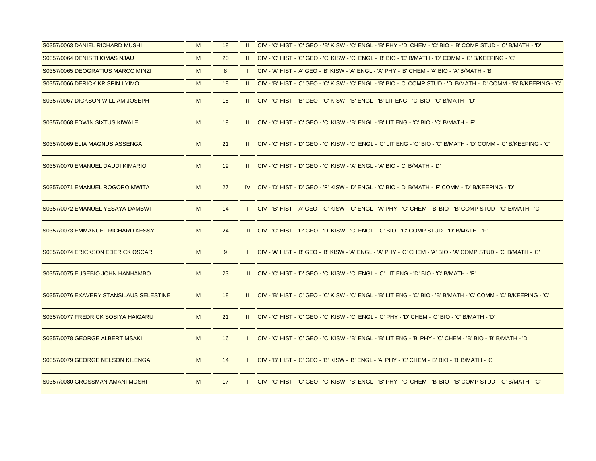| S0357/0063 DANIEL RICHARD MUSHI         | M | 18 |                | ICIV - 'C' HIST - 'C' GEO - 'B' KISW - 'C' ENGL - 'B' PHY - 'D' CHEM - 'C' BIO - 'B' COMP STUD - 'C' B/MATH - 'D'      |
|-----------------------------------------|---|----|----------------|------------------------------------------------------------------------------------------------------------------------|
| S0357/0064 DENIS THOMAS NJAU            | M | 20 | $\mathbf{H}$   | ICIV - 'C' HIST - 'C' GEO - 'C' KISW - 'C' ENGL - 'B' BIO - 'C' B/MATH - 'D' COMM - 'C' B/KEEPING - 'C'                |
| S0357/0065 DEOGRATIUS MARCO MINZI       | M | 8  |                | CIV - 'A' HIST - 'A' GEO - 'B' KISW - 'A' ENGL - 'A' PHY - 'B' CHEM - 'A' BIO - 'A' B/MATH - 'B'                       |
| S0357/0066 DERICK KRISPIN LYIMO         | M | 18 | $\mathbf{H}$   | CIV - 'B' HIST - 'C' GEO - 'C' KISW - 'C' ENGL - 'B' BIO - 'C' COMP STUD - 'D' B/MATH - 'D' COMM - 'B' B/KEEPING - 'C' |
| S0357/0067 DICKSON WILLIAM JOSEPH       | M | 18 |                | llCIV - 'C' HIST - 'B' GEO - 'C' KISW - 'B' ENGL - 'B' LIT ENG - 'C' BIO - 'C' B/MATH - 'D'                            |
| S0357/0068 EDWIN SIXTUS KIWALE          | M | 19 | $\mathbf{H}$   | CIV - 'C' HIST - 'C' GEO - 'C' KISW - 'B' ENGL - 'B' LIT ENG - 'C' BIO - 'C' B/MATH - 'F'                              |
| S0357/0069 ELIA MAGNUS ASSENGA          | M | 21 | $\mathbf{u}$   | l CIV - 'C' HIST - 'D' GEO - 'C' KISW - 'C' ENGL - 'C' LIT ENG - 'C' BIO - 'C' B/MATH - 'D' COMM - 'C' B/KEEPING - 'C' |
| S0357/0070 EMANUEL DAUDI KIMARIO        | M | 19 | $\mathbf{II}$  | llCIV - 'C' HIST - 'D' GEO - 'C' KISW - 'A' ENGL - 'A' BIO - 'C' B/MATH - 'D'                                          |
| IS0357/0071 EMANUEL ROGORO MWITA        | M | 27 | IV.            | "ICIV - 'D' HIST - 'D' GEO - 'F' KISW - 'D' ENGL - 'C' BIO - 'D' B/MATH - 'F' COMM - 'D' B/KEEPING - 'D                |
| S0357/0072 EMANUEL YESAYA DAMBWI        | M | 14 |                | CIV - 'B' HIST - 'A' GEO - 'C' KISW - 'C' ENGL - 'A' PHY - 'C' CHEM - 'B' BIO - 'B' COMP STUD - 'C' B/MATH - 'C'       |
| S0357/0073 EMMANUEL RICHARD KESSY       | M | 24 | III            | ICIV - 'C' HIST - 'D' GEO - 'D' KISW - 'C' ENGL - 'C' BIO - 'C' COMP STUD - 'D' B/MATH - 'F'                           |
| S0357/0074 ERICKSON EDERICK OSCAR       | M | 9  |                | 'ICIV - 'A' HIST - 'B' GEO - 'B' KISW - 'A' ENGL - 'A' PHY - 'C' CHEM - 'A' BIO - 'A' COMP STUD - 'C' B/MATH - 'C      |
| S0357/0075 EUSEBIO JOHN HANHAMBO        | M | 23 | $\mathbf{III}$ | llCIV - 'C' HIST - 'D' GEO - 'C' KISW - 'C' ENGL - 'C' LIT ENG - 'D' BIO - 'C' B/MATH - 'F'                            |
| S0357/0076 EXAVERY STANSILAUS SELESTINE | M | 18 | H.             | CIV - 'B' HIST - 'C' GEO - 'C' KISW - 'C' ENGL - 'B' LIT ENG - 'C' BIO - 'B' B/MATH - 'C' COMM - 'C' B/KEEPING - 'C'   |
| S0357/0077 FREDRICK SOSIYA HAIGARU      | M | 21 | H.             | llCIV - 'C' HIST - 'C' GEO - 'C' KISW - 'C' ENGL - 'C' PHY - 'D' CHEM - 'C' BIO - 'C' B/MATH - 'D'                     |
| S0357/0078 GEORGE ALBERT MSAKI          | M | 16 |                | ICIV - 'C' HIST - 'C' GEO - 'C' KISW - 'B' ENGL - 'B' LIT ENG - 'B' PHY - 'C' CHEM - 'B' BIO - 'B' B/MATH - 'D'        |
| S0357/0079 GEORGE NELSON KILENGA        | M | 14 |                | CIV - 'B' HIST - 'C' GEO - 'B' KISW - 'B' ENGL - 'A' PHY - 'C' CHEM - 'B' BIO - 'B' B/MATH - 'C'                       |
| S0357/0080 GROSSMAN AMANI MOSHI         | M | 17 |                | CIV - 'C' HIST - 'C' GEO - 'C' KISW - 'B' ENGL - 'B' PHY - 'C' CHEM - 'B' BIO - 'B' COMP STUD - 'C' B/MATH - 'C'       |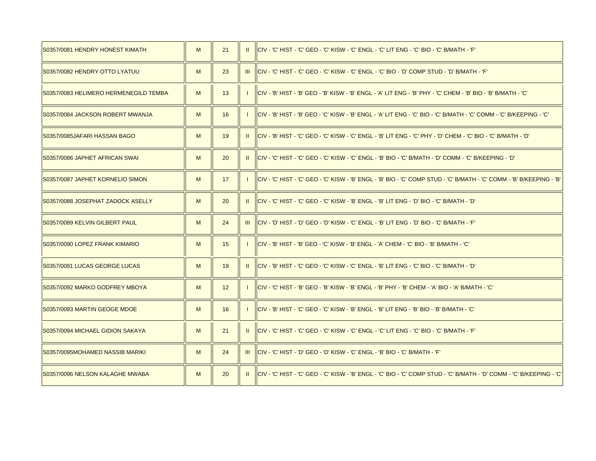| S0357/0081 HENDRY HONEST KIMATH       | M | 21 | $\mathbf{u}$ | llCIV - 'C' HIST - 'C' GEO - 'C' KISW - 'C' ENGL - 'C' LIT ENG - 'C' BIO - 'C' B/MATH - 'F'                              |
|---------------------------------------|---|----|--------------|--------------------------------------------------------------------------------------------------------------------------|
| S0357/0082 HENDRY OTTO LYATUU         | M | 23 | Ш            | lciv - 'C' Hist - 'C' GEO - 'C' Kisw - 'C' ENGL - 'C' BIO - 'D' COMP STUD - 'D' B/MATH - 'F'                             |
| S0357/0083 HELIMERO HERMENEGILD TEMBA | M | 13 |              | llCIV - 'B' HIST - 'B' GEO - 'B' KISW - 'B' ENGL - 'A' LIT ENG - 'B' PHY - 'C' CHEM - 'B' BIO - 'B' B/MATH - 'C'         |
| S0357/0084 JACKSON ROBERT MWANJA      | M | 16 |              | l CIV - 'B' HIST - 'B' GEO - 'C' KISW - 'B' ENGL - 'A' LIT ENG - 'C' BIO - 'C' B/MATH - 'C' COMM - 'C' B/KEEPING - 'C'   |
| S0357/0085JAFARI HASSAN BAGO          | M | 19 | $\mathbf{H}$ | lciv - 'B' HIST - 'C' GEO - 'C' KISW - 'C' ENGL - 'B' LIT ENG - 'C' PHY - 'D' CHEM - 'C' BIO - 'C' B/MATH - 'D'          |
| S0357/0086 JAPHET AFRICAN SWAI        | M | 20 | $\mathbf{u}$ | l CIV - 'C' HIST - 'C' GEO - 'C' KISW - 'C' ENGL - 'B' BIO - 'C' B/MATH - 'D' COMM - 'C' B/KEEPING - 'D'                 |
| S0357/0087 JAPHET KORNELIO SIMON      | M | 17 |              | l CIV - 'C' HIST - 'C' GEO - 'C' KISW - 'B' ENGL - 'B' BIO - 'C' COMP STUD - 'C' B/MATH - 'C' COMM - 'B' B/KEEPING - 'B' |
| S0357/0088 JOSEPHAT ZADOCK ASELLY     | M | 20 | $\mathbf{H}$ | CIV - 'C' HIST - 'C' GEO - 'C' KISW - 'B' ENGL - 'B' LIT ENG - 'D' BIO - 'C' B/MATH - 'D'                                |
| S0357/0089 KELVIN GILBERT PAUL        | M | 24 |              | III   CIV - 'D' HIST - 'D' GEO - 'D' KISW - 'C' ENGL - 'B' LIT ENG - 'D' BIO - 'C' B/MATH - 'F'                          |
| S0357/0090 LOPEZ FRANK KIMARIO        | M | 15 |              | CIV - 'B' HIST - 'B' GEO - 'C' KISW - 'B' ENGL - 'A' CHEM - 'C' BIO - 'B' B/MATH - 'C'                                   |
| S0357/0091 LUCAS GEORGE LUCAS         | M | 19 | $\mathbf{H}$ | lciv - 'b' hist - 'c' geo - 'c' kisw - 'c' engl - 'b' lit eng - 'c' bio - 'c' b/math - 'd'                               |
| S0357/0092 MARKO GODFREY MBOYA        | M | 12 |              | llCIV - 'C' HIST - 'B' GEO - 'B' KISW - 'B' ENGL - 'B' PHY - 'B' CHEM - 'A' BIO - 'A' B/MATH - 'C'                       |
| S0357/0093 MARTIN GEOGE MDOE          | M | 16 |              | llCIV - 'B' HIST - 'C' GEO - 'C' KISW - 'B' ENGL - 'B' LIT ENG - 'B' BIO - 'B' B/MATH - 'C'                              |
| S0357/0094 MICHAEL GIDION SAKAYA      | M | 21 | $\mathbf{H}$ | lclv - 'C' HIST - 'C' GEO - 'C' KISW - 'C' ENGL - 'C' LIT ENG - 'C' BIO - 'C' B/MATH - 'F'                               |
| S0357/0095MOHAMED NASSIB MARIKI       | M | 24 |              | III   CIV - 'C' HIST - 'D' GEO - 'D' KISW - 'C' ENGL - 'B' BIO - 'C' B/MATH - 'F'                                        |
| S0357/0096 NELSON KALAGHE MWABA       | M | 20 | $\mathbf{H}$ | llCIV - 'C' HIST - 'C' GEO - 'C' KISW - 'B' ENGL - 'C' BIO - 'C' COMP STUD - 'C' B/MATH - 'D' COMM - 'C' B/KEEPING - 'C' |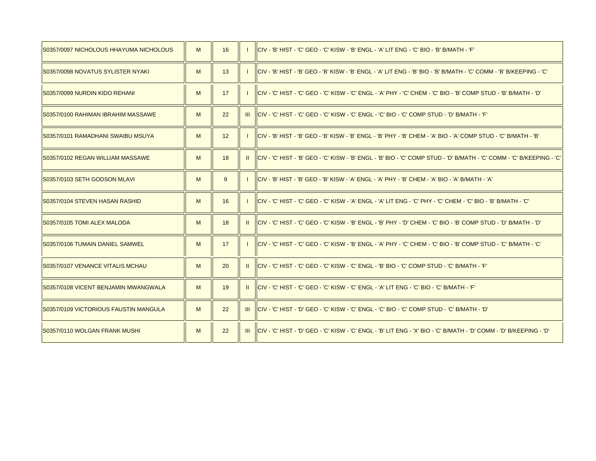| S0357/0097 NICHOLOUS HHAYUMA NICHOLOUS | M | 16 |              | llCIV - 'B' HIST - 'C' GEO - 'C' KISW - 'B' ENGL - 'A' LIT ENG - 'C' BIO - 'B' B/MATH - 'F'                             |
|----------------------------------------|---|----|--------------|-------------------------------------------------------------------------------------------------------------------------|
| IS0357/0098 NOVATUS SYLISTER NYAKI     | M | 13 |              | ICIV - 'B' HIST - 'B' GEO - 'B' KISW - 'B' ENGL - 'A' LIT ENG - 'B' BIO - 'B' B/MATH - 'C' COMM - 'B' B/KEEPING - 'C'   |
| S0357/0099 NURDIN KIDO REHANI          | M | 17 |              | ICIV - 'C' HIST - 'C' GEO - 'C' KISW - 'C' ENGL - 'A' PHY - 'C' CHEM - 'C' BIO - 'B' COMP STUD - 'B' B/MATH - 'D'       |
| IS0357/0100 RAHIMAN IBRAHIM MASSAWE    | M | 22 |              | <u>III   IICIV - 'C' HIST - 'C' GEO - 'C' KISW - 'C' ENGL - 'C' BIO - 'C' COMP STUD - 'D' B/MATH - 'F'</u>              |
| IS0357/0101 RAMADHANI SWAIBU MSUYA     | M | 12 |              | llCIV - 'B' HIST - 'B' GEO - 'B' KISW - 'B' ENGL - 'B' PHY - 'B' CHEM - 'A' BIO - 'A' COMP STUD - 'C' B/MATH - 'B'      |
| S0357/0102 REGAN WILLIAM MASSAWE       | M | 18 | H.           | ICIV - 'C' HIST - 'B' GEO - 'C' KISW - 'B' ENGL - 'B' BIO - 'C' COMP STUD - 'D' B/MATH - 'C' COMM - 'C' B/KEEPING - 'C' |
| S0357/0103 SETH GODSON MLAVI           | M | 9  |              | llCIV - 'B' HIST - 'B' GEO - 'B' KISW - 'A' ENGL - 'A' PHY - 'B' CHEM - 'A' BIO - 'A' B/MATH - 'A'                      |
| IS0357/0104 STEVEN HASAN RASHID        | M | 16 |              | l CIV - 'C' HIST - 'C' GEO - 'C' KISW - 'A' ENGL - 'A' LIT ENG - 'C' PHY - 'C' CHEM - 'C' BIO - 'B' B/MATH - 'C'        |
| S0357/0105 TOMI ALEX MALODA            | M | 18 | $\mathbf{H}$ | "ICIV - 'C' HIST - 'C' GEO - 'C' KISW - 'B' ENGL - 'B' PHY - 'D' CHEM - 'C' BIO - 'B' COMP STUD - 'D' B/MATH - 'D       |
| IS0357/0106 TUMAIN DANIEL SAMWEL       | M | 17 |              | l CIV - 'C' HIST - 'C' GEO - 'C' KISW - 'B' ENGL - 'A' PHY - 'C' CHEM - 'C' BIO - 'B' COMP STUD - 'C' B/MATH - 'C'      |
| S0357/0107 VENANCE VITALIS MCHAU       | M | 20 | $\mathbf{u}$ | CIV - 'C' HIST - 'C' GEO - 'C' KISW - 'C' ENGL - 'B' BIO - 'C' COMP STUD - 'C' B/MATH - 'F'                             |
| S0357/0108 VICENT BENJAMIN MWANGWALA   | M | 19 |              | llCIV - 'C' HIST - 'C' GEO - 'C' KISW - 'C' ENGL - 'A' LIT ENG - 'C' BIO - 'C' B/MATH - 'F'                             |
| S0357/0109 VICTORIOUS FAUSTIN MANGULA  | M | 22 | -III         | ICIV - 'C' HIST - 'D' GEO - 'C' KISW - 'C' ENGL - 'C' BIO - 'C' COMP STUD - 'C' B/MATH - 'D'                            |
| S0357/0110 WOLGAN FRANK MUSHI          | M | 22 | -III         | lciv - 'C' Hist - 'D' GEO - 'C' KISW - 'C' ENGL - 'B' LIT ENG - 'X' BIO - 'C' B/MATH - 'D' COMM - 'D' B/KEEPING - 'D'   |